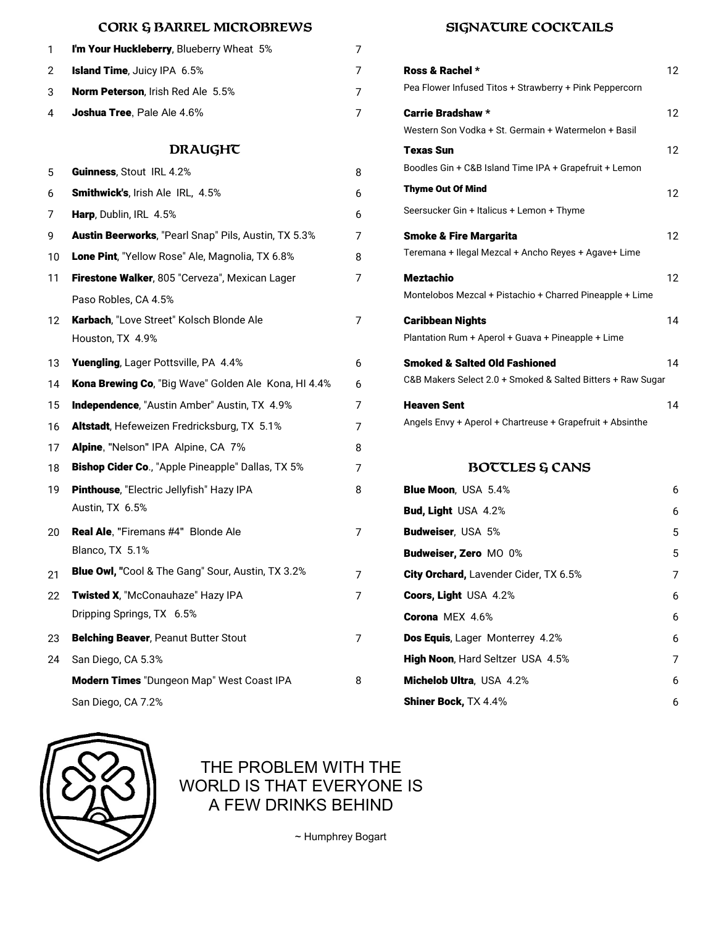## **CORK & BARREL MICROBREWS SIGNATURE COCKTAILS**

| 1  | I'm Your Huckleberry, Blueberry Wheat 5%             | 7              |                                                                                  |    |
|----|------------------------------------------------------|----------------|----------------------------------------------------------------------------------|----|
| 2  | Island Time, Juicy IPA 6.5%                          | 7              | Ross & Rachel *                                                                  | 12 |
| 3  | Norm Peterson, Irish Red Ale 5.5%                    | $\overline{7}$ | Pea Flower Infused Titos + Strawberry + Pink Peppercorn                          |    |
| 4  | Joshua Tree, Pale Ale 4.6%                           | 7              | <b>Carrie Bradshaw *</b><br>Western Son Vodka + St. Germain + Watermelon + Basil | 12 |
|    | <b>DRAUGHT</b>                                       |                | <b>Texas Sun</b>                                                                 | 12 |
| 5  | Guinness, Stout IRL 4.2%                             | 8              | Boodles Gin + C&B Island Time IPA + Grapefruit + Lemon                           |    |
| 6  | Smithwick's, Irish Ale IRL, 4.5%                     | 6              | <b>Thyme Out Of Mind</b>                                                         | 12 |
| 7  | Harp, Dublin, IRL 4.5%                               | 6              | Seersucker Gin + Italicus + Lemon + Thyme                                        |    |
| 9  | Austin Beerworks, "Pearl Snap" Pils, Austin, TX 5.3% | 7              | <b>Smoke &amp; Fire Margarita</b>                                                | 12 |
| 10 | Lone Pint, "Yellow Rose" Ale, Magnolia, TX 6.8%      | 8              | Teremana + Ilegal Mezcal + Ancho Reyes + Agave+ Lime                             |    |
| 11 | Firestone Walker, 805 "Cerveza", Mexican Lager       | 7              | <b>Meztachio</b>                                                                 | 12 |
|    | Paso Robles, CA 4.5%                                 |                | Montelobos Mezcal + Pistachio + Charred Pineapple + Lime                         |    |
| 12 | Karbach, "Love Street" Kolsch Blonde Ale             | 7              | <b>Caribbean Nights</b>                                                          | 14 |
|    | Houston, TX 4.9%                                     |                | Plantation Rum + Aperol + Guava + Pineapple + Lime                               |    |
| 13 | Yuengling, Lager Pottsville, PA 4.4%                 | 6              | <b>Smoked &amp; Salted Old Fashioned</b>                                         | 14 |
| 14 | Kona Brewing Co, "Big Wave" Golden Ale Kona, HI 4.4% | 6              | C&B Makers Select 2.0 + Smoked & Salted Bitters + Raw Sugar                      |    |
| 15 | <b>Independence, "Austin Amber" Austin, TX 4.9%</b>  | 7              | <b>Heaven Sent</b>                                                               | 14 |
| 16 | Altstadt, Hefeweizen Fredricksburg, TX 5.1%          | 7              | Angels Envy + Aperol + Chartreuse + Grapefruit + Absinthe                        |    |
| 17 | Alpine, "Nelson" IPA Alpine, CA 7%                   | 8              |                                                                                  |    |
| 18 | Bishop Cider Co., "Apple Pineapple" Dallas, TX 5%    | 7              | <b>BOTTLES &amp; CANS</b>                                                        |    |
| 19 | Pinthouse, "Electric Jellyfish" Hazy IPA             | 8              | <b>Blue Moon, USA 5.4%</b>                                                       | 6  |
|    | Austin, TX 6.5%                                      |                | Bud, Light USA 4.2%                                                              |    |
| 20 | <b>Real Ale, "Firemans #4" Blonde Ale</b>            | 7              | Budweiser, USA 5%                                                                |    |
|    | Blanco, TX 5.1%                                      |                | Budweiser, Zero MO 0%                                                            |    |
| 21 | Blue Owl, "Cool & The Gang" Sour, Austin, TX 3.2%    | 7              | City Orchard, Lavender Cider, TX 6.5%                                            | 7  |
| 22 | Twisted X, "McConauhaze" Hazy IPA                    | 7              | Coors, Light USA 4.2%                                                            | 6  |
|    | Dripping Springs, TX 6.5%                            |                | Corona MEX 4.6%                                                                  |    |
| 23 | <b>Belching Beaver, Peanut Butter Stout</b>          | $\overline{7}$ | Dos Equis, Lager Monterrey 4.2%                                                  |    |
| 24 | San Diego, CA 5.3%                                   |                | High Noon, Hard Seltzer USA 4.5%                                                 |    |
|    | Modern Times "Dungeon Map" West Coast IPA            | 8              | Michelob Ultra, USA 4.2%                                                         | 6  |
|    |                                                      |                |                                                                                  |    |

San Diego, CA 7.2%

| A 6.5%                            | $\overline{7}$ | Ross & Rachel *                                             | $12 \overline{ }$ |
|-----------------------------------|----------------|-------------------------------------------------------------|-------------------|
| Red Ale 5.5%                      | $\overline{7}$ | Pea Flower Infused Titos + Strawberry + Pink Peppercorn     |                   |
| le 4.6%                           | $\overline{7}$ | <b>Carrie Bradshaw *</b>                                    | 12                |
|                                   |                | Western Son Vodka + St. Germain + Watermelon + Basil        |                   |
| DRAUGHT                           |                | <b>Texas Sun</b>                                            | $12 \overline{ }$ |
| 4.2%                              | 8              | Boodles Gin + C&B Island Time IPA + Grapefruit + Lemon      |                   |
| : IRL, 4.5%                       | 6              | <b>Thyme Out Of Mind</b>                                    | $12 \overline{ }$ |
| ℅                                 | 6              | Seersucker Gin + Italicus + Lemon + Thyme                   |                   |
| earl Snap" Pils, Austin, TX 5.3%' | 7              | <b>Smoke &amp; Fire Margarita</b>                           | $12 \overline{ }$ |
| se" Ale, Magnolia, TX 6.8%        | 8              | Teremana + Ilegal Mezcal + Ancho Reyes + Agave+ Lime        |                   |
| 5 "Cerveza", Mexican Lager        | 7              | <b>Meztachio</b>                                            | $12 \overline{ }$ |
|                                   |                | Montelobos Mezcal + Pistachio + Charred Pineapple + Lime    |                   |
| t" Kolsch Blonde Ale              | $\overline{7}$ | <b>Caribbean Nights</b>                                     | 14                |
|                                   |                | Plantation Rum + Aperol + Guava + Pineapple + Lime          |                   |
| tsville, PA 4.4%                  | 6              | <b>Smoked &amp; Salted Old Fashioned</b>                    | 14                |
| ig Wave" Golden Ale Kona, HI 4.4% | 6              | C&B Makers Select 2.0 + Smoked & Salted Bitters + Raw Sugar |                   |
| in Amber" Austin, TX 4.9%         | $\overline{7}$ | <b>Heaven Sent</b>                                          | 14                |
| Fredricksburg, TX 5.1%            | $\overline{7}$ | Angels Envy + Aperol + Chartreuse + Grapefruit + Absinthe   |                   |
| Alpine, CA 7%                     | 8              |                                                             |                   |
|                                   |                |                                                             |                   |

## **BOTTLES & CANS**

| <b>Blue Moon, USA 5.4%</b>                   | 6 |
|----------------------------------------------|---|
| <b>Bud, Light USA 4.2%</b>                   | 6 |
| <b>Budweiser, USA 5%</b>                     | 5 |
| <b>Budweiser, Zero MO 0%</b>                 | 5 |
| <b>City Orchard, Lavender Cider, TX 6.5%</b> | 7 |
| <b>Coors, Light USA 4.2%</b>                 | 6 |
| Corona MFX 4.6%                              | 6 |
| <b>Dos Equis, Lager Monterrey 4.2%</b>       | 6 |
| High Noon, Hard Seltzer USA 4.5%             | 7 |
| <b>Michelob Ultra, USA 4.2%</b>              | 6 |
| <b>Shiner Bock, TX 4.4%</b>                  | 6 |



# THE PROBLEM WITH THE WORLD IS THAT EVERYONE IS A FEW DRINKS BEHIND

~ Humphrey Bogart